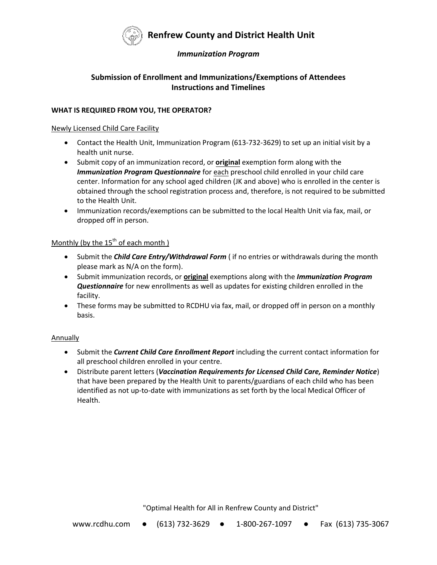

# **Renfrew County and District Health Unit**

### *Immunization Program*

## **Submission of Enrollment and Immunizations/Exemptions of Attendees Instructions and Timelines**

### **WHAT IS REQUIRED FROM YOU, THE OPERATOR?**

#### Newly Licensed Child Care Facility

- Contact the Health Unit, Immunization Program (613-732-3629) to set up an initial visit by a health unit nurse.
- Submit copy of an immunization record, or **original** exemption form along with the *Immunization Program Questionnaire* for each preschool child enrolled in your child care center. Information for any school aged children (JK and above) who is enrolled in the center is obtained through the school registration process and, therefore, is not required to be submitted to the Health Unit.
- Immunization records/exemptions can be submitted to the local Health Unit via fax, mail, or dropped off in person.

### Monthly (by the  $15<sup>th</sup>$  of each month)

- Submit the *Child Care Entry/Withdrawal Form* ( if no entries or withdrawals during the month please mark as N/A on the form).
- Submit immunization records, or **original** exemptions along with the *Immunization Program Questionnaire* for new enrollments as well as updates for existing children enrolled in the facility.
- These forms may be submitted to RCDHU via fax, mail, or dropped off in person on a monthly basis.

### **Annually**

- Submit the *Current Child Care Enrollment Report* including the current contact information for all preschool children enrolled in your centre.
- Distribute parent letters (*Vaccination Requirements for Licensed Child Care, Reminder Notice*) that have been prepared by the Health Unit to parents/guardians of each child who has been identified as not up-to-date with immunizations as set forth by the local Medical Officer of Health.

"Optimal Health for All in Renfrew County and District"